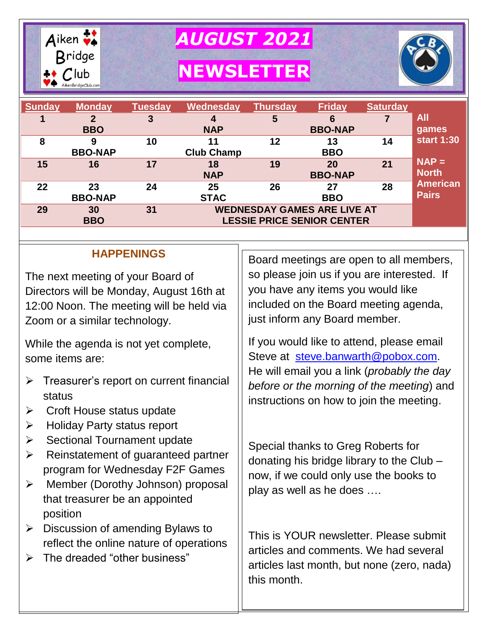

*AUGUST 2021*

**NEWSLETTER**



| <b>Sunday</b> | <b>Monday</b>        | <b>Tuesday</b> | <b>Wednesday</b>                                                        | <b>Thursday</b> | <b>Friday</b>        | <b>Saturday</b> |                                 |
|---------------|----------------------|----------------|-------------------------------------------------------------------------|-----------------|----------------------|-----------------|---------------------------------|
|               | <b>BBO</b>           | 3              | 4<br><b>NAP</b>                                                         | 5               | 6<br><b>BBO-NAP</b>  |                 | All<br>games                    |
| 8             | 9<br><b>BBO-NAP</b>  | 10             | 11<br><b>Club Champ</b>                                                 | 12              | 13<br><b>BBO</b>     | 14              | <b>start 1:30</b>               |
| 15            | 16                   | 17             | 18<br><b>NAP</b>                                                        | 19              | 20<br><b>BBO-NAP</b> | 21              | $NAP =$<br><b>North</b>         |
| 22            | 23<br><b>BBO-NAP</b> | 24             | 25<br><b>STAC</b>                                                       | 26              | 27<br><b>BBO</b>     | 28              | <b>American</b><br><b>Pairs</b> |
| 29            | 30<br><b>BBO</b>     | 31             | <b>WEDNESDAY GAMES ARE LIVE AT</b><br><b>LESSIE PRICE SENIOR CENTER</b> |                 |                      |                 |                                 |

## **HAPPENINGS**

The next meeting of your Board of Directors will be Monday, August 16th at 12:00 Noon. The meeting will be held via Zoom or a similar technology.

While the agenda is not yet complete, some items are:

- $\triangleright$  Treasurer's report on current financial status
- $\triangleright$  Croft House status update
- $\triangleright$  Holiday Party status report
- $\triangleright$  Sectional Tournament update
- $\triangleright$  Reinstatement of guaranteed partner program for Wednesday F2F Games
- Member (Dorothy Johnson) proposal that treasurer be an appointed position
- $\triangleright$  Discussion of amending Bylaws to reflect the online nature of operations
- $\triangleright$  The dreaded "other business"

Board meetings are open to all members, so please join us if you are interested. If you have any items you would like included on the Board meeting agenda, just inform any Board member.

If you would like to attend, please email Steve at [steve.banwarth@pobox.com.](mailto:steve.banwarth@pobox.com) He will email you a link (*probably the day before or the morning of the meeting*) and instructions on how to join the meeting.

Special thanks to Greg Roberts for donating his bridge library to the Club – now, if we could only use the books to play as well as he does ….

This is YOUR newsletter. Please submit articles and comments. We had several articles last month, but none (zero, nada) this month.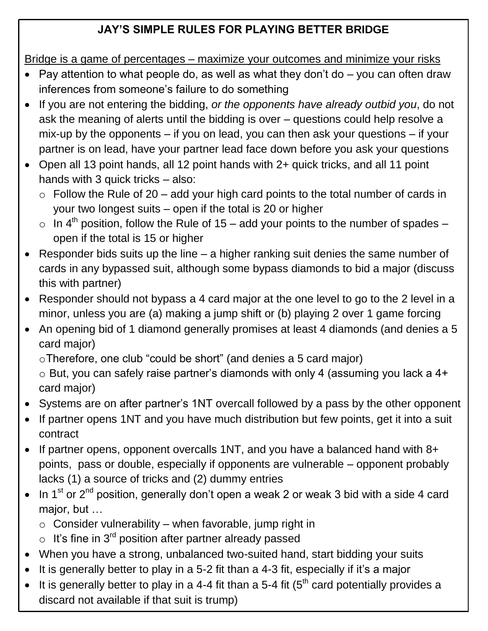# **JAY'S SIMPLE RULES FOR PLAYING BETTER BRIDGE**

Bridge is a game of percentages – maximize your outcomes and minimize your risks

- Pay attention to what people do, as well as what they don't do  $-$  you can often draw inferences from someone's failure to do something
- If you are not entering the bidding, *or the opponents have already outbid you*, do not ask the meaning of alerts until the bidding is over – questions could help resolve a mix-up by the opponents – if you on lead, you can then ask your questions – if your partner is on lead, have your partner lead face down before you ask your questions
- Open all 13 point hands, all 12 point hands with 2+ quick tricks, and all 11 point hands with 3 quick tricks – also:
	- $\circ$  Follow the Rule of 20 add your high card points to the total number of cards in your two longest suits – open if the total is 20 or higher
	- $\circ$  In 4<sup>th</sup> position, follow the Rule of 15 add your points to the number of spades open if the total is 15 or higher
- Responder bids suits up the line a higher ranking suit denies the same number of cards in any bypassed suit, although some bypass diamonds to bid a major (discuss this with partner)
- Responder should not bypass a 4 card major at the one level to go to the 2 level in a minor, unless you are (a) making a jump shift or (b) playing 2 over 1 game forcing
- An opening bid of 1 diamond generally promises at least 4 diamonds (and denies a 5 card major)

oTherefore, one club "could be short" (and denies a 5 card major)

o But, you can safely raise partner's diamonds with only 4 (assuming you lack a 4+ card major)

- Systems are on after partner's 1NT overcall followed by a pass by the other opponent
- If partner opens 1NT and you have much distribution but few points, get it into a suit contract
- If partner opens, opponent overcalls 1NT, and you have a balanced hand with 8+ points, pass or double, especially if opponents are vulnerable – opponent probably lacks (1) a source of tricks and (2) dummy entries
- $\bullet$  In 1<sup>st</sup> or 2<sup>nd</sup> position, generally don't open a weak 2 or weak 3 bid with a side 4 card major, but …
	- $\circ$  Consider vulnerability when favorable, jump right in
	- $\circ$  It's fine in 3<sup>rd</sup> position after partner already passed
- When you have a strong, unbalanced two-suited hand, start bidding your suits
- $\bullet$  It is generally better to play in a 5-2 fit than a 4-3 fit, especially if it's a major
- $\overline{a}$ It is generally better to play in a 4-4 fit than a 5-4 fit  $(5<sup>th</sup>$  card potentially provides a discard not available if that suit is trump)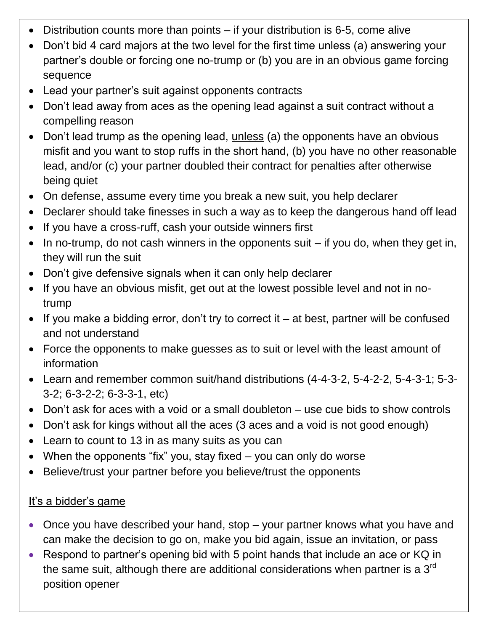- Distribution counts more than points if your distribution is 6-5, come alive
- Don't bid 4 card majors at the two level for the first time unless (a) answering your partner's double or forcing one no-trump or (b) you are in an obvious game forcing sequence
- Lead your partner's suit against opponents contracts
- Don't lead away from aces as the opening lead against a suit contract without a compelling reason
- Don't lead trump as the opening lead, unless (a) the opponents have an obvious misfit and you want to stop ruffs in the short hand, (b) you have no other reasonable lead, and/or (c) your partner doubled their contract for penalties after otherwise being quiet
- On defense, assume every time you break a new suit, you help declarer
- Declarer should take finesses in such a way as to keep the dangerous hand off lead
- If you have a cross-ruff, cash your outside winners first
- $\bullet$  In no-trump, do not cash winners in the opponents suit  $-$  if you do, when they get in, they will run the suit
- Don't give defensive signals when it can only help declarer
- If you have an obvious misfit, get out at the lowest possible level and not in notrump
- $\bullet$  If you make a bidding error, don't try to correct it at best, partner will be confused and not understand
- Force the opponents to make guesses as to suit or level with the least amount of information
- Learn and remember common suit/hand distributions (4-4-3-2, 5-4-2-2, 5-4-3-1; 5-3- 3-2; 6-3-2-2; 6-3-3-1, etc)
- Don't ask for aces with a void or a small doubleton use cue bids to show controls
- Don't ask for kings without all the aces (3 aces and a void is not good enough)
- Learn to count to 13 in as many suits as you can
- When the opponents "fix" you, stay fixed you can only do worse
- Believe/trust your partner before you believe/trust the opponents

#### It's a bidder's game

- Once you have described your hand, stop your partner knows what you have and can make the decision to go on, make you bid again, issue an invitation, or pass
- Respond to partner's opening bid with 5 point hands that include an ace or KQ in the same suit, although there are additional considerations when partner is a  $3<sup>rd</sup>$ position opener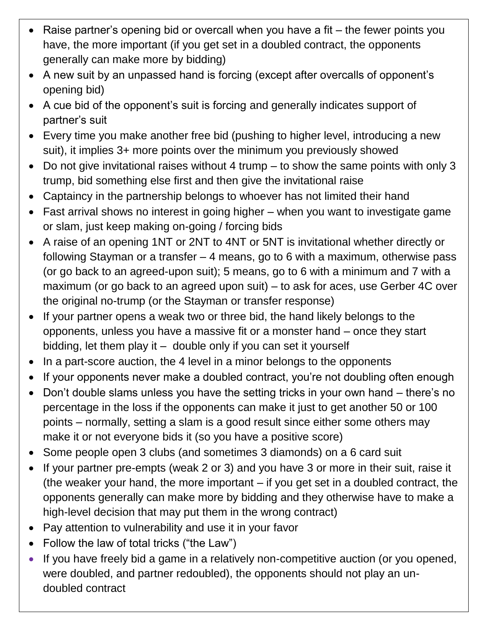- Raise partner's opening bid or overcall when you have a fit the fewer points you have, the more important (if you get set in a doubled contract, the opponents generally can make more by bidding)
- A new suit by an unpassed hand is forcing (except after overcalls of opponent's opening bid)
- A cue bid of the opponent's suit is forcing and generally indicates support of partner's suit
- Every time you make another free bid (pushing to higher level, introducing a new suit), it implies 3+ more points over the minimum you previously showed
- Do not give invitational raises without 4 trump to show the same points with only 3 trump, bid something else first and then give the invitational raise
- Captaincy in the partnership belongs to whoever has not limited their hand
- Fast arrival shows no interest in going higher when you want to investigate game or slam, just keep making on-going / forcing bids
- A raise of an opening 1NT or 2NT to 4NT or 5NT is invitational whether directly or following Stayman or a transfer – 4 means, go to 6 with a maximum, otherwise pass (or go back to an agreed-upon suit); 5 means, go to 6 with a minimum and 7 with a maximum (or go back to an agreed upon suit) – to ask for aces, use Gerber 4C over the original no-trump (or the Stayman or transfer response)
- If your partner opens a weak two or three bid, the hand likely belongs to the opponents, unless you have a massive fit or a monster hand – once they start bidding, let them play it – double only if you can set it yourself
- In a part-score auction, the 4 level in a minor belongs to the opponents
- If your opponents never make a doubled contract, you're not doubling often enough
- Don't double slams unless you have the setting tricks in your own hand there's no percentage in the loss if the opponents can make it just to get another 50 or 100 points – normally, setting a slam is a good result since either some others may make it or not everyone bids it (so you have a positive score)
- Some people open 3 clubs (and sometimes 3 diamonds) on a 6 card suit
- If your partner pre-empts (weak 2 or 3) and you have 3 or more in their suit, raise it (the weaker your hand, the more important – if you get set in a doubled contract, the opponents generally can make more by bidding and they otherwise have to make a high-level decision that may put them in the wrong contract)
- Pay attention to vulnerability and use it in your favor
- Follow the law of total tricks ("the Law")
- If you have freely bid a game in a relatively non-competitive auction (or you opened, were doubled, and partner redoubled), the opponents should not play an undoubled contract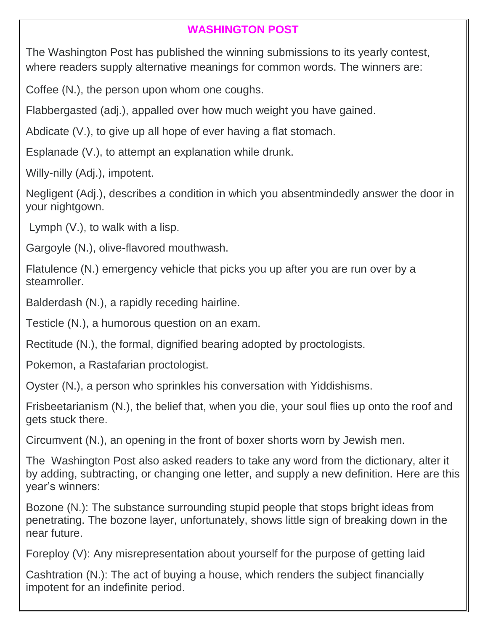## **WASHINGTON POST**

The Washington Post has published the winning submissions to its yearly contest, where readers supply alternative meanings for common words. The winners are:

Coffee (N.), the person upon whom one coughs.

Flabbergasted (adj.), appalled over how much weight you have gained.

Abdicate (V.), to give up all hope of ever having a flat stomach.

Esplanade (V.), to attempt an explanation while drunk.

Willy-nilly (Adj.), impotent.

Negligent (Adj.), describes a condition in which you absentmindedly answer the door in your nightgown.

Lymph (V.), to walk with a lisp.

Gargoyle (N.), olive-flavored mouthwash.

Flatulence (N.) emergency vehicle that picks you up after you are run over by a steamroller.

Balderdash (N.), a rapidly receding hairline.

Testicle (N.), a humorous question on an exam.

Rectitude (N.), the formal, dignified bearing adopted by proctologists.

Pokemon, a Rastafarian proctologist.

Oyster (N.), a person who sprinkles his conversation with Yiddishisms.

Frisbeetarianism (N.), the belief that, when you die, your soul flies up onto the roof and gets stuck there.

Circumvent (N.), an opening in the front of boxer shorts worn by Jewish men.

The Washington Post also asked readers to take any word from the dictionary, alter it by adding, subtracting, or changing one letter, and supply a new definition. Here are this year's winners:

Bozone (N.): The substance surrounding stupid people that stops bright ideas from penetrating. The bozone layer, unfortunately, shows little sign of breaking down in the near future.

Foreploy (V): Any misrepresentation about yourself for the purpose of getting laid

Cashtration (N.): The act of buying a house, which renders the subject financially impotent for an indefinite period.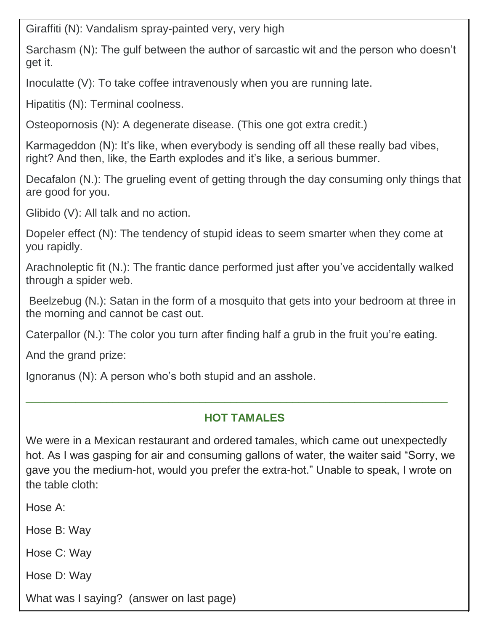Giraffiti (N): Vandalism spray -painted very, very high

Sarchasm (N): The gulf between the author of sarcastic wit and the person who doesn't get it.

Inoculatte (V): To take coffee intravenously when you are running late.

Hipatitis (N): Terminal coolness.

Osteopornosis (N): A degenerate disease. (This one got extra credit.)

Karmageddon (N): It's like, when everybody is sending off all these really bad vibes, right? And then, like, the Earth explodes and it's like, a serious bummer.

Decafalon (N.): The grueling event of getting through the day consuming only things that are good for you.

Glibido (V): All talk and no action.

Dopeler effect (N): The tendency of stupid ideas to seem smarter when they come at you rapidly.

Arachnoleptic fit (N.): The frantic dance performed just after you've accidentally walked through a spider web.

Beelzebug (N.): Satan in the form of a mosquito that gets into your bedroom at three in the morning and cannot be cast out.

Caterpallor (N.): The color you turn after finding half a grub in the fruit you're eating.

And the grand prize:

Ignoranus (N): A person who's both stupid and an asshole.

#### **HOT TAMALES**

\_\_\_\_\_\_\_\_\_\_\_\_\_\_\_\_\_\_\_\_\_\_\_\_\_\_\_\_\_\_\_\_\_\_\_\_\_\_\_\_\_\_\_\_\_\_\_\_\_\_\_\_\_\_\_\_\_\_\_\_\_\_\_\_\_\_\_\_

We were in a Mexican restaurant and ordered tamales, which came out unexpectedly hot. As I was gasping for air and consuming gallons of water, the waiter said "Sorry, we gave you the medium-hot, would you prefer the extra-hot." Unable to speak, I wrote on the table cloth:

Hose A:

Hose B: Way

Hose C: Way

Hose D: Way

What was I saying? (answer on last page)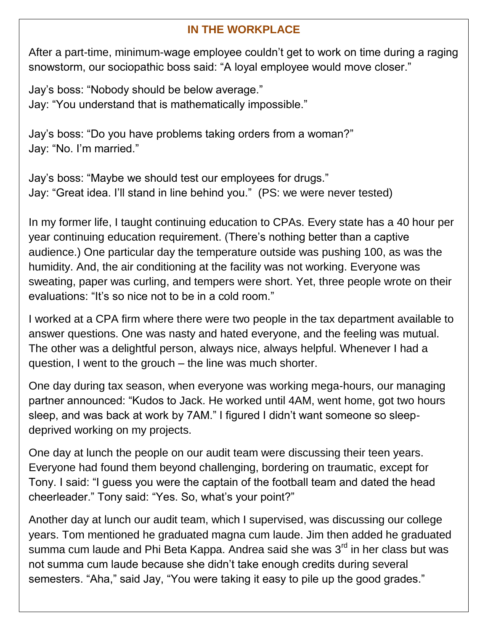## **IN THE WORKPLACE**

After a part-time, minimum-wage employee couldn't get to work on time during a raging snowstorm, our sociopathic boss said: "A loyal employee would move closer."

Jay's boss: "Nobody should be below average." Jay: "You understand that is mathematically impossible."

Jay's boss: "Do you have problems taking orders from a woman?" Jay: "No. I'm married."

Jay's boss: "Maybe we should test our employees for drugs." Jay: "Great idea. I'll stand in line behind you." (PS: we were never tested)

In my former life, I taught continuing education to CPAs. Every state has a 40 hour per year continuing education requirement. (There's nothing better than a captive audience.) One particular day the temperature outside was pushing 100, as was the humidity. And, the air conditioning at the facility was not working. Everyone was sweating, paper was curling, and tempers were short. Yet, three people wrote on their evaluations: "It's so nice not to be in a cold room."

I worked at a CPA firm where there were two people in the tax department available to answer questions. One was nasty and hated everyone, and the feeling was mutual. The other was a delightful person, always nice, always helpful. Whenever I had a question, I went to the grouch – the line was much shorter.

One day during tax season, when everyone was working mega-hours, our managing partner announced: "Kudos to Jack. He worked until 4AM, went home, got two hours sleep, and was back at work by 7AM." I figured I didn't want someone so sleepdeprived working on my projects.

One day at lunch the people on our audit team were discussing their teen years. Everyone had found them beyond challenging, bordering on traumatic, except for Tony. I said: "I guess you were the captain of the football team and dated the head cheerleader." Tony said: "Yes. So, what's your point?"

Another day at lunch our audit team, which I supervised, was discussing our college years. Tom mentioned he graduated magna cum laude. Jim then added he graduated summa cum laude and Phi Beta Kappa. Andrea said she was  $3<sup>rd</sup>$  in her class but was not summa cum laude because she didn't take enough credits during several semesters. "Aha," said Jay, "You were taking it easy to pile up the good grades."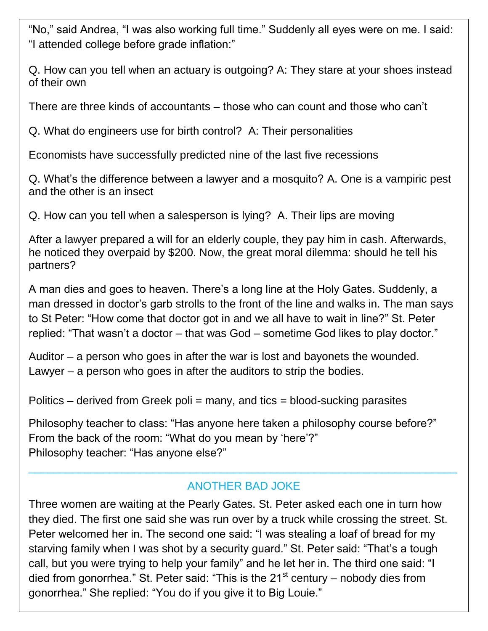"No," said Andrea, "I was also working full time." Suddenly all eyes were on me. I said: "I attended college before grade inflation:"

Q. How can you tell when an actuary is outgoing? A: They stare at your shoes instead of their own

There are three kinds of accountants – those who can count and those who can't

Q. What do engineers use for birth control? A: Their personalities

Economists have successfully predicted nine of the last five recessions

Q. What's the difference between a lawyer and a mosquito? A. One is a vampiric pest and the other is an insect

Q. How can you tell when a salesperson is lying? A. Their lips are moving

After a lawyer prepared a will for an elderly couple, they pay him in cash. Afterwards, he noticed they overpaid by \$200. Now, the great moral dilemma: should he tell his partners?

A man dies and goes to heaven. There's a long line at the Holy Gates. Suddenly, a man dressed in doctor's garb strolls to the front of the line and walks in. The man says to St Peter: "How come that doctor got in and we all have to wait in line?" St. Peter replied: "That wasn't a doctor – that was God – sometime God likes to play doctor."

Auditor – a person who goes in after the war is lost and bayonets the wounded. Lawyer – a person who goes in after the auditors to strip the bodies.

Politics – derived from Greek poli = many, and tics = blood-sucking parasites

Philosophy teacher to class: "Has anyone here taken a philosophy course before?" From the back of the room: "What do you mean by 'here'?" Philosophy teacher: "Has anyone else?"

## ANOTHER BAD JOKE

 $\_$  , and the contribution of the contribution of  $\mathcal{L}_1$  , and the contribution of  $\mathcal{L}_2$  , and the contribution of  $\mathcal{L}_1$ 

Three women are waiting at the Pearly Gates. St. Peter asked each one in turn how they died. The first one said she was run over by a truck while crossing the street. St. Peter welcomed her in. The second one said: "I was stealing a loaf of bread for my starving family when I was shot by a security guard." St. Peter said: "That's a tough call, but you were trying to help your family" and he let her in. The third one said: "I died from gonorrhea." St. Peter said: "This is the  $21<sup>st</sup>$  century – nobody dies from gonorrhea." She replied: "You do if you give it to Big Louie."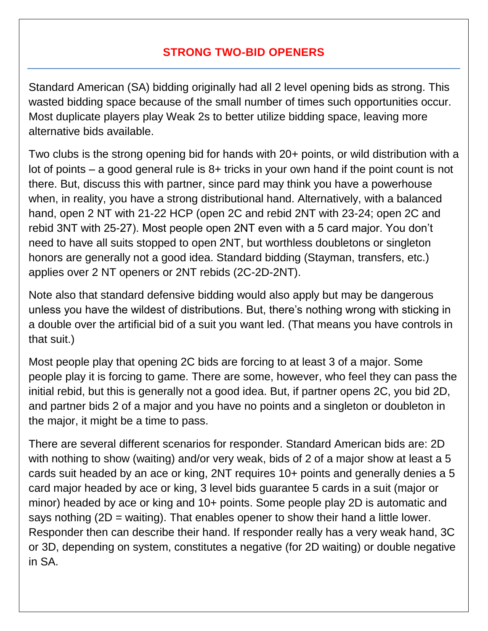## **STRONG TWO-BID OPENERS**

Standard American (SA) bidding originally had all 2 level opening bids as strong. This wasted bidding space because of the small number of times such opportunities occur. Most duplicate players play Weak 2s to better utilize bidding space, leaving more alternative bids available.

Two clubs is the strong opening bid for hands with 20+ points, or wild distribution with a lot of points – a good general rule is 8+ tricks in your own hand if the point count is not there. But, discuss this with partner, since pard may think you have a powerhouse when, in reality, you have a strong distributional hand. Alternatively, with a balanced hand, open 2 NT with 21-22 HCP (open 2C and rebid 2NT with 23-24; open 2C and rebid 3NT with 25-27). Most people open 2NT even with a 5 card major. You don't need to have all suits stopped to open 2NT, but worthless doubletons or singleton honors are generally not a good idea. Standard bidding (Stayman, transfers, etc.) applies over 2 NT openers or 2NT rebids (2C-2D-2NT).

Note also that standard defensive bidding would also apply but may be dangerous unless you have the wildest of distributions. But, there's nothing wrong with sticking in a double over the artificial bid of a suit you want led. (That means you have controls in that suit.)

Most people play that opening 2C bids are forcing to at least 3 of a major. Some people play it is forcing to game. There are some, however, who feel they can pass the initial rebid, but this is generally not a good idea. But, if partner opens 2C, you bid 2D, and partner bids 2 of a major and you have no points and a singleton or doubleton in the major, it might be a time to pass.

There are several different scenarios for responder. Standard American bids are: 2D with nothing to show (waiting) and/or very weak, bids of 2 of a major show at least a 5 cards suit headed by an ace or king, 2NT requires 10+ points and generally denies a 5 card major headed by ace or king, 3 level bids guarantee 5 cards in a suit (major or minor) headed by ace or king and 10+ points. Some people play 2D is automatic and says nothing  $(2D = \text{waiting})$ . That enables opener to show their hand a little lower. Responder then can describe their hand. If responder really has a very weak hand, 3C or 3D, depending on system, constitutes a negative (for 2D waiting) or double negative in SA.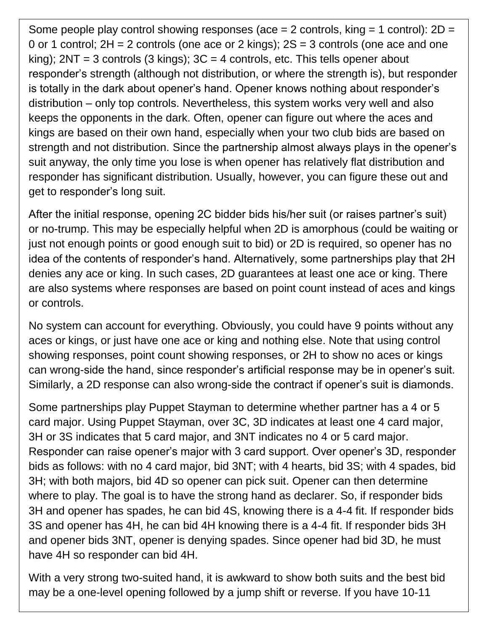Some people play control showing responses (ace  $= 2$  controls, king  $= 1$  control):  $2D =$ 0 or 1 control;  $2H = 2$  controls (one ace or 2 kings);  $2S = 3$  controls (one ace and one king);  $2NT = 3$  controls (3 kings);  $3C = 4$  controls, etc. This tells opener about responder's strength (although not distribution, or where the strength is), but responder is totally in the dark about opener's hand. Opener knows nothing about responder's distribution – only top controls. Nevertheless, this system works very well and also keeps the opponents in the dark. Often, opener can figure out where the aces and kings are based on their own hand, especially when your two club bids are based on strength and not distribution. Since the partnership almost always plays in the opener's suit anyway, the only time you lose is when opener has relatively flat distribution and responder has significant distribution. Usually, however, you can figure these out and get to responder's long suit.

After the initial response, opening 2C bidder bids his/her suit (or raises partner's suit) or no-trump. This may be especially helpful when 2D is amorphous (could be waiting or just not enough points or good enough suit to bid) or 2D is required, so opener has no idea of the contents of responder's hand. Alternatively, some partnerships play that 2H denies any ace or king. In such cases, 2D guarantees at least one ace or king. There are also systems where responses are based on point count instead of aces and kings or controls.

No system can account for everything. Obviously, you could have 9 points without any aces or kings, or just have one ace or king and nothing else. Note that using control showing responses, point count showing responses, or 2H to show no aces or kings can wrong-side the hand, since responder's artificial response may be in opener's suit. Similarly, a 2D response can also wrong-side the contract if opener's suit is diamonds.

Some partnerships play Puppet Stayman to determine whether partner has a 4 or 5 card major. Using Puppet Stayman, over 3C, 3D indicates at least one 4 card major, 3H or 3S indicates that 5 card major, and 3NT indicates no 4 or 5 card major. Responder can raise opener's major with 3 card support. Over opener's 3D, responder bids as follows: with no 4 card major, bid 3NT; with 4 hearts, bid 3S; with 4 spades, bid 3H; with both majors, bid 4D so opener can pick suit. Opener can then determine where to play. The goal is to have the strong hand as declarer. So, if responder bids 3H and opener has spades, he can bid 4S, knowing there is a 4-4 fit. If responder bids 3S and opener has 4H, he can bid 4H knowing there is a 4-4 fit. If responder bids 3H and opener bids 3NT, opener is denying spades. Since opener had bid 3D, he must have 4H so responder can bid 4H.

With a very strong two-suited hand, it is awkward to show both suits and the best bid may be a one-level opening followed by a jump shift or reverse. If you have 10-11